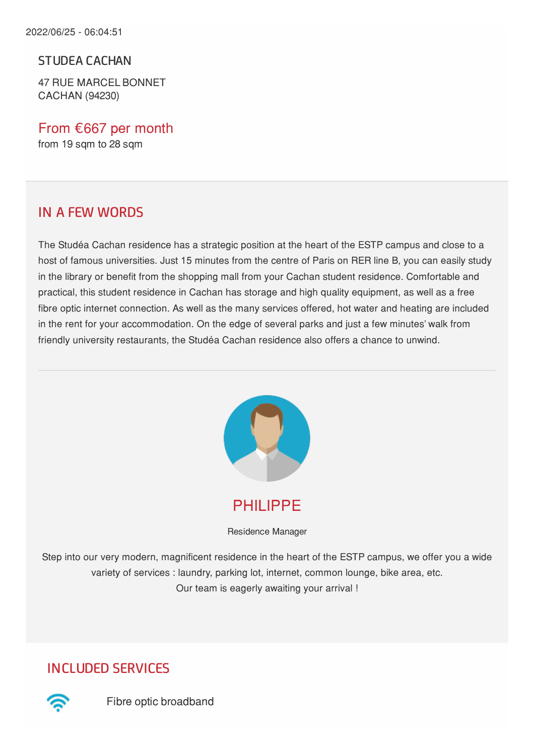STUDEA CACHAN

47 RUE MARCEL BONNET CACHAN (94230)

From €667 per month from 19 sqm to 28 sqm

#### IN A FEW WORDS

The Studéa Cachan residence has a strategic position at the heart of the ESTP campus and close to a host of famous universities. Just 15 minutes from the centre of Paris on RER line B, you can easily study in the library or benefit from the shopping mall from your Cachan student residence. Comfortable and practical, this student residence in Cachan has storage and high quality equipment, as well as a free fibre optic internet connection. As well as the many services offered, hot water and heating are included in the rent for your accommodation. On the edge of several parks and just a few minutes' walk from friendly university restaurants, the Studéa Cachan residence also offers a chance to unwind.



PHILIPPE

Residence Manager

Step into our very modern, magnificent residence in the heart of the ESTP campus, we offer you a wide variety of services : laundry, parking lot, internet, common lounge, bike area, etc. Our team is eagerly awaiting your arrival !

INCLUDED SERVICES



Fibre optic broadband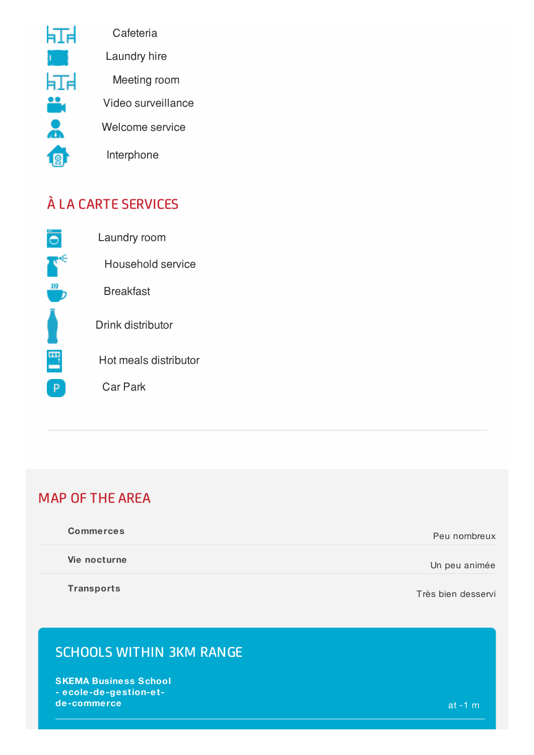

**Cafeteria** 

Laundry hire

Meeting room

Video surveillance

Welcome service

Interphone

# À LA CARTE SERVICES



Laundry room Household service Breakfast Drink distributor Hot meals distributor

Car Park

### MAP OF THE AREA

| <b>Commerces</b> | Peu nombreux  |
|------------------|---------------|
| Vie nocturne     | Un peu animée |
|                  |               |

**Transports**

Très bien desservi

### SCHOOLS WITHIN 3KM RANGE

**SKEMA Business School - ecole-de-gestion-et de-commerce** at -1 m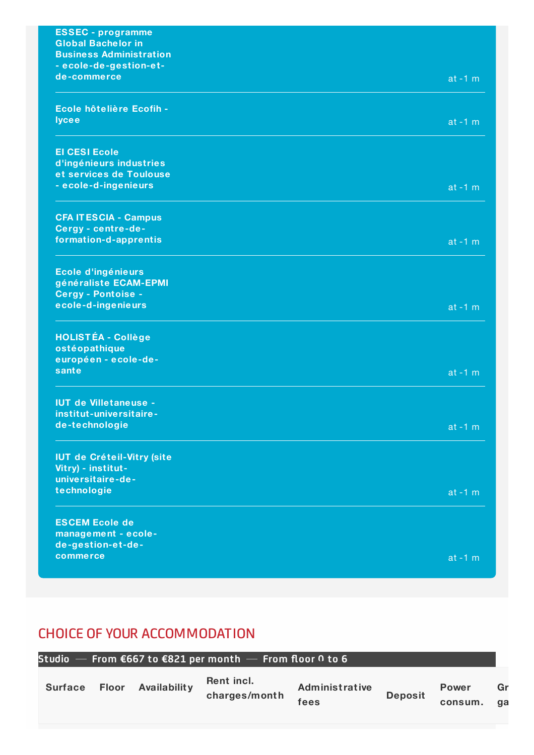| <b>ESSEC</b> - programme<br><b>Global Bachelor in</b> |            |
|-------------------------------------------------------|------------|
| <b>Business Administration</b>                        |            |
| - ecole-de-gestion-et-                                |            |
| de-commerce                                           | $at -1 m$  |
| Ecole hôtelière Ecofih -                              |            |
| <b>lycee</b>                                          | $at -1 m$  |
| <b>El CESI Ecole</b>                                  |            |
| d'ingénieurs industries<br>et services de Toulouse    |            |
| - ecole-d-ingenieurs                                  | $at -1 m$  |
| <b>CFA IT ESCIA - Campus</b>                          |            |
| Cergy - centre-de-                                    |            |
| formation-d-apprentis                                 | $at - 1 m$ |
| Ecole d'ingénieurs                                    |            |
| généraliste ECAM-EPMI                                 |            |
| <b>Cergy - Pontoise -</b><br>ecole-d-ingenieurs       | $at -1 m$  |
|                                                       |            |
| <b>HOLISTÉA - Collège</b>                             |            |
| ostéopathique<br>européen - ecole-de-                 |            |
| sante                                                 | $at -1 m$  |
| <b>IUT de Villetaneuse -</b>                          |            |
| institut-universitaire-                               |            |
| de-technologie                                        | at $-1$ m  |
| <b>IUT de Créteil-Vitry (site</b>                     |            |
| Vitry) - institut-                                    |            |
| universitaire-de-<br>technologie                      |            |
|                                                       | $at - 1 m$ |
| <b>ESCEM Ecole de</b>                                 |            |
| management - ecole-<br>de-gestion-et-de-              |            |
| commerce                                              | $at -1 m$  |
|                                                       |            |

### CHOICE OF YOUR ACCOMMODATION

|                |       |              | Studio – From $\epsilon$ 667 to $\epsilon$ 821 per month – From floor 0 to 6 |                               |                |                         |          |
|----------------|-------|--------------|------------------------------------------------------------------------------|-------------------------------|----------------|-------------------------|----------|
| <b>Surface</b> | Floor | Availability | Rent incl.<br>charges/month                                                  | <b>Administrative</b><br>fees | <b>Deposit</b> | <b>Power</b><br>consum. | Gr<br>aa |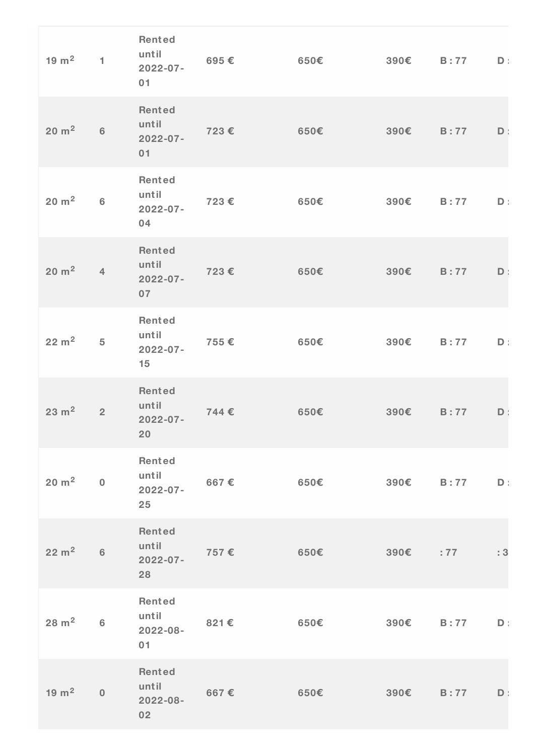| $19 \text{ m}^2$ | $\blacksquare$ | Rented<br>until<br>$2022 - 07 -$<br>01        | 695€ | 650E          |                    | $390\epsilon$ B:77 | $\mathbf{D}$ |
|------------------|----------------|-----------------------------------------------|------|---------------|--------------------|--------------------|--------------|
| $20 \text{ m}^2$ | 6              | Rented<br>until<br>$2022 - 07 -$<br>01        | 723€ | 650€          | 390€               | B:77               | $\mathsf D$  |
| $20 \text{ m}^2$ | 6              | Rented<br>until<br>$2022 - 07 -$<br>04        | 723€ | 650E          | 390€ B:77          |                    | $D$ :        |
| $20 \text{ m}^2$ | $\overline{4}$ | <b>Rented</b><br>until<br>$2022 - 07 -$<br>07 | 723€ | 650€          | 390€               | B:77               | $\mathsf D$  |
| $22 \text{ m}^2$ | $\overline{5}$ | <b>Rented</b><br>until<br>$2022 - 07 -$<br>15 | 755€ | 650€          | 390€               | B:77               | $D$ :        |
| $23 \text{ m}^2$ | $\overline{2}$ | Rented<br>until<br>$2022 - 07 -$<br>20        | 744€ | 650€          | 390€               | B:77               | $\mathsf D$  |
| $20 \text{ m}^2$ | $\mathbf 0$    | Rented<br>until<br>$2022 - 07 -$<br>25        | 667€ | 650€          | 390€ B:77          |                    | $D$ :        |
| $22 \text{ m}^2$ | 6              | Rented<br>until<br>$2022 - 07 -$<br>28        | 757€ | 650E          | $390\epsilon$ : 77 |                    | : 3          |
| $28 \text{ m}^2$ | 6              | Rented<br>until<br>2022-08-<br>01             | 821€ | 650E          | $390\epsilon$ B:77 |                    | $D$ :        |
| $19 \text{ m}^2$ | $\mathbf{0}$   | Rented<br>until<br>2022-08-<br>02             | 667€ | $650\epsilon$ | 390€ B:77          |                    | D            |